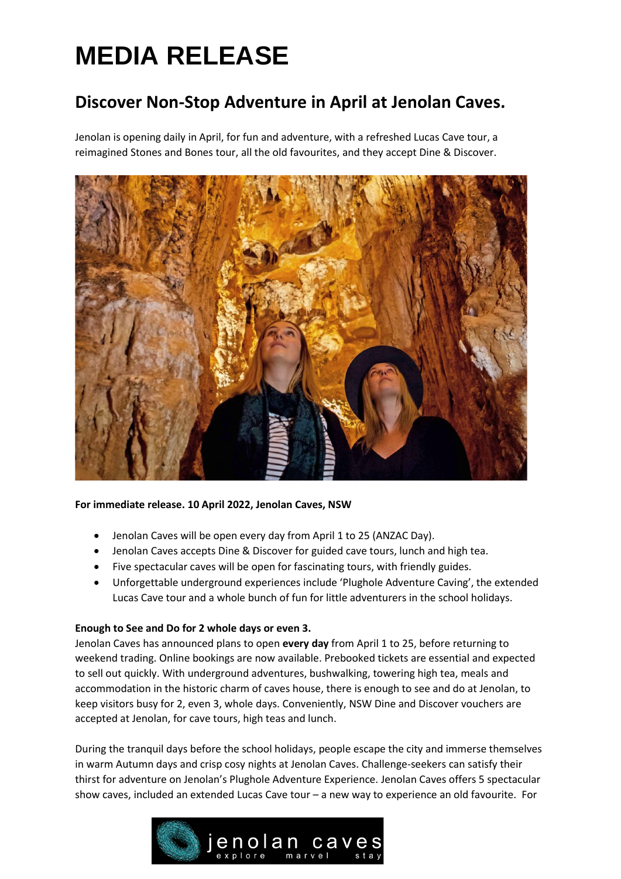## **MEDIA RELEASE**

### **Discover Non-Stop Adventure in April at Jenolan Caves.**

Jenolan is opening daily in April, for fun and adventure, with a refreshed Lucas Cave tour, a reimagined Stones and Bones tour, all the old favourites, and they accept Dine & Discover.



#### **For immediate release. 10 April 2022, Jenolan Caves, NSW**

- Jenolan Caves will be open every day from April 1 to 25 (ANZAC Day).
- Jenolan Caves accepts Dine & Discover for guided cave tours, lunch and high tea.
- Five spectacular caves will be open for fascinating tours, with friendly guides.
- Unforgettable underground experiences include 'Plughole Adventure Caving', the extended Lucas Cave tour and a whole bunch of fun for little adventurers in the school holidays.

#### **Enough to See and Do for 2 whole days or even 3.**

Jenolan Caves has announced plans to open **every day** from April 1 to 25, before returning to weekend trading. Online bookings are now available. Prebooked tickets are essential and expected to sell out quickly. With underground adventures, bushwalking, towering high tea, meals and accommodation in the historic charm of caves house, there is enough to see and do at Jenolan, to keep visitors busy for 2, even 3, whole days. Conveniently, NSW Dine and Discover vouchers are accepted at Jenolan, for cave tours, high teas and lunch.

During the tranquil days before the school holidays, people escape the city and immerse themselves in warm Autumn days and crisp cosy nights at Jenolan Caves. Challenge-seekers can satisfy their thirst for adventure on Jenolan's Plughole Adventure Experience. Jenolan Caves offers 5 spectacular show caves, included an extended Lucas Cave tour – a new way to experience an old favourite. For

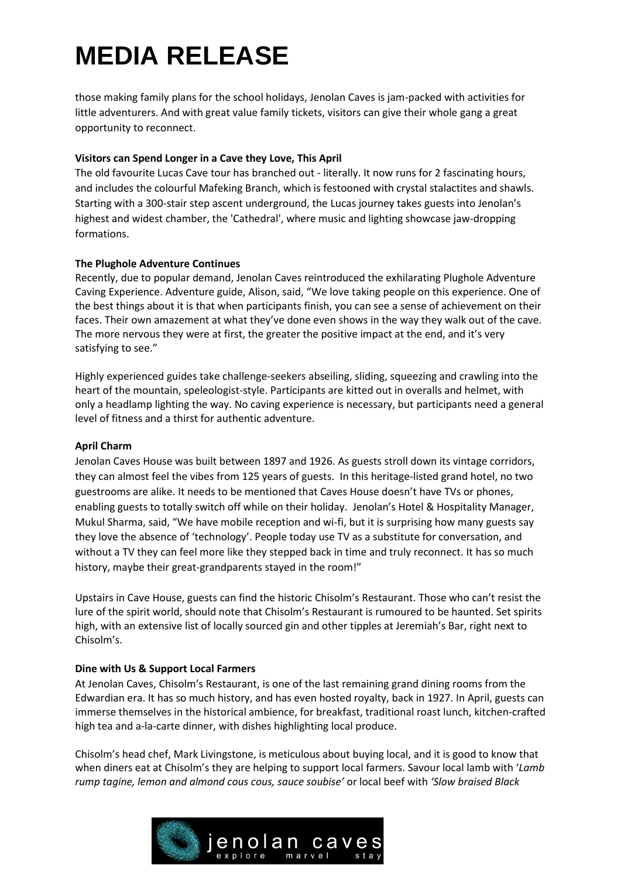# **MEDIA RELEASE**

those making family plans for the school holidays, Jenolan Caves is jam-packed with activities for little adventurers. And with great value family tickets, visitors can give their whole gang a great opportunity to reconnect.

#### **Visitors can Spend Longer in a Cave they Love, This April**

The old favourite Lucas Cave tour has branched out - literally. It now runs for 2 fascinating hours, and includes the colourful Mafeking Branch, which is festooned with crystal stalactites and shawls. Starting with a 300-stair step ascent underground, the Lucas journey takes guests into Jenolan's highest and widest chamber, the 'Cathedral', where music and lighting showcase jaw-dropping formations.

#### **The Plughole Adventure Continues**

Recently, due to popular demand, Jenolan Caves reintroduced the exhilarating Plughole Adventure Caving Experience. Adventure guide, Alison, said, "We love taking people on this experience. One of the best things about it is that when participants finish, you can see a sense of achievement on their faces. Their own amazement at what they've done even shows in the way they walk out of the cave. The more nervous they were at first, the greater the positive impact at the end, and it's very satisfying to see."

Highly experienced guides take challenge-seekers abseiling, sliding, squeezing and crawling into the heart of the mountain, speleologist-style. Participants are kitted out in overalls and helmet, with only a headlamp lighting the way. No caving experience is necessary, but participants need a general level of fitness and a thirst for authentic adventure.

#### **April Charm**

Jenolan Caves House was built between 1897 and 1926. As guests stroll down its vintage corridors, they can almost feel the vibes from 125 years of guests. In this heritage-listed grand hotel, no two guestrooms are alike. It needs to be mentioned that Caves House doesn't have TVs or phones, enabling guests to totally switch off while on their holiday. Jenolan's Hotel & Hospitality Manager, Mukul Sharma, said, "We have mobile reception and wi-fi, but it is surprising how many guests say they love the absence of 'technology'. People today use TV as a substitute for conversation, and without a TV they can feel more like they stepped back in time and truly reconnect. It has so much history, maybe their great-grandparents stayed in the room!"

Upstairs in Cave House, guests can find the historic Chisolm's Restaurant. Those who can't resist the lure of the spirit world, should note that Chisolm's Restaurant is rumoured to be haunted. Set spirits high, with an extensive list of locally sourced gin and other tipples at Jeremiah's Bar, right next to Chisolm's.

#### **Dine with Us & Support Local Farmers**

At Jenolan Caves, Chisolm's Restaurant, is one of the last remaining grand dining rooms from the Edwardian era. It has so much history, and has even hosted royalty, back in 1927. In April, guests can immerse themselves in the historical ambience, for breakfast, traditional roast lunch, kitchen-crafted high tea and a-la-carte dinner, with dishes highlighting local produce.

Chisolm's head chef, Mark Livingstone, is meticulous about buying local, and it is good to know that when diners eat at Chisolm's they are helping to support local farmers. Savour local lamb with '*Lamb rump tagine, lemon and almond cous cous, sauce soubise'* or local beef with *'Slow braised Black*